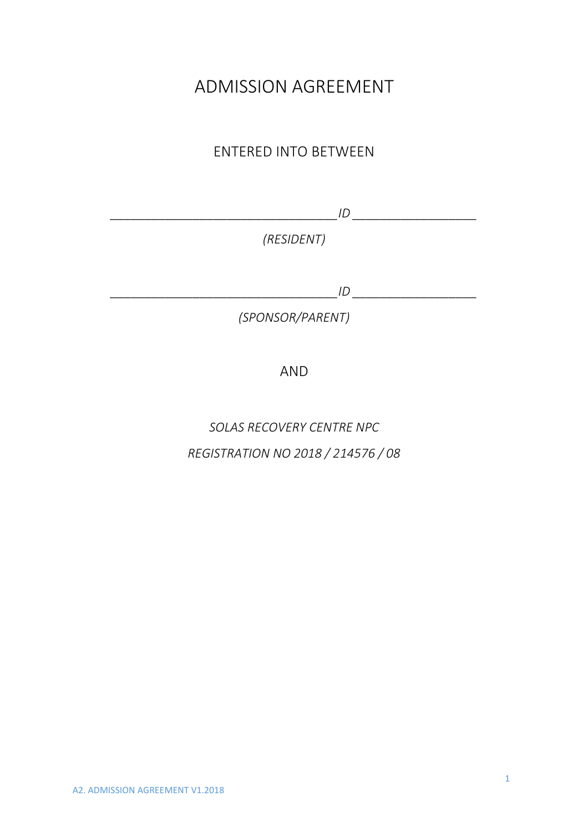# ADMISSION AGREEMENT

# ENTERED INTO BETWEEN

*\_\_\_\_\_\_\_\_\_\_\_\_\_\_\_\_\_\_\_\_\_\_\_\_\_\_\_\_\_\_\_\_\_ID \_\_\_\_\_\_\_\_\_\_\_\_\_\_\_\_\_\_* 

*(RESIDENT)* 

*\_\_\_\_\_\_\_\_\_\_\_\_\_\_\_\_\_\_\_\_\_\_\_\_\_\_\_\_\_\_\_\_\_ID \_\_\_\_\_\_\_\_\_\_\_\_\_\_\_\_\_\_* 

*(SPONSOR/PARENT)* 

AND

*SOLAS RECOVERY CENTRE NPC REGISTRATION NO 2018 / 214576 / 08*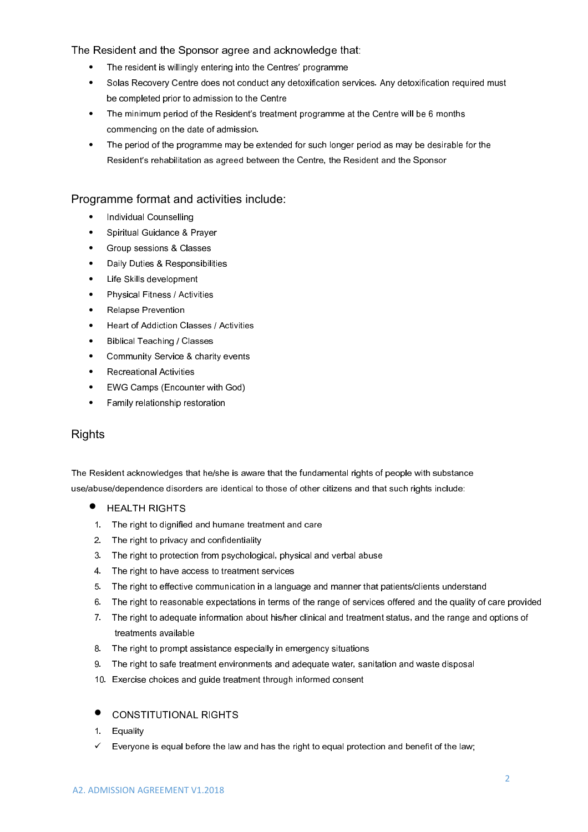The Resident and the Sponsor agree and acknowledge that:

- The resident is willingly entering into the Centres' programme
- Solas Recovery Centre does not conduct any detoxification services. Any detoxification required must be completed prior to admission to the Centre
- The minimum period of the Resident's treatment programme at the Centre will be 6 months commencing on the date of admission.
- The period of the programme may be extended for such longer period as may be desirable for the Resident's rehabilitation as agreed between the Centre, the Resident and the Sponsor

#### Programme format and activities include:

- Individual Counselling
- Spiritual Guidance & Prayer
- Group sessions & Classes
- Daily Duties & Responsibilities
- Life Skills development
- Physical Fitness / Activities
- Relapse Prevention
- Heart of Addiction Classes / Activities
- Biblical Teaching / Classes
- Community Service & charity events
- Recreational Activities
- EWG Camps (Encounter with God)
- Family relationship restoration

#### **Rights**

The Resident acknowledges that he/she is aware that the fundamental rights of people with substance use/abuse/dependence disorders are identical to those of other citizens and that such rights include:

- HEALTH RIGHTS
- 1. The right to dignified and humane treatment and care
- 2. The right to privacy and confidentiality
- 3. The right to protection from psychological, physical and verbal abuse
- 4. The right to have access to treatment services
- 5. The right to effective communication in a language and manner that patients/clients understand
- 6. The right to reasonable expectations in terms of the range of services offered and the quality of care provided
- 7. The right to adequate information about his/her clinical and treatment status, and the range and options of treatments available
- 8. The right to prompt assistance especially in emergency situations
- 9. The right to safe treatment environments and adequate water, sanitation and waste disposal
- 10. Exercise choices and guide treatment through informed consent
- **CONSTITUTIONAL RIGHTS**
- 1. Equality
- $\checkmark$  Everyone is equal before the law and has the right to equal protection and benefit of the law;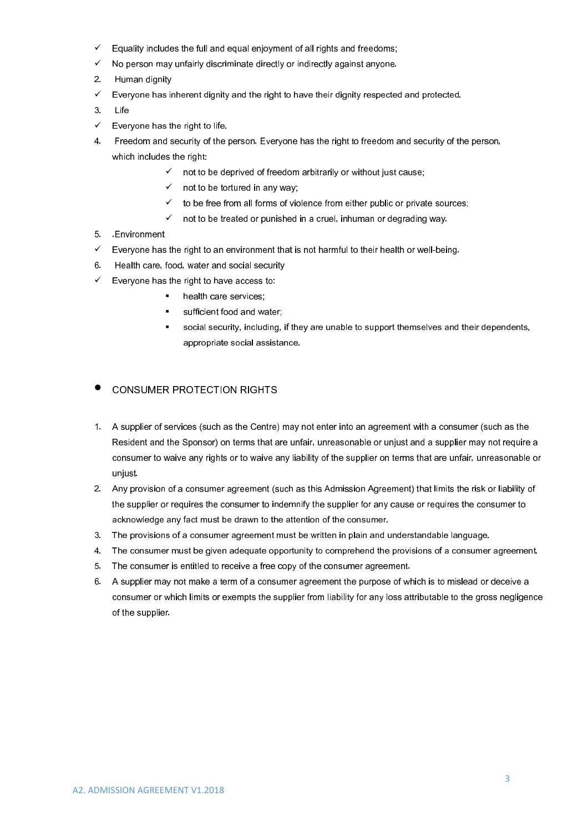- $\checkmark$  Equality includes the full and equal enjoyment of all rights and freedoms;
- $\checkmark$  No person may unfairly discriminate directly or indirectly against anyone.
- 2. Human dignity
- $\checkmark$  Everyone has inherent dignity and the right to have their dignity respected and protected.
- 3. Life
- $\checkmark$  Everyone has the right to life.
- 4. Freedom and security of the person. Everyone has the right to freedom and security of the person, which includes the right:
	- $\checkmark$  not to be deprived of freedom arbitrarily or without just cause;
		- $\checkmark$  not to be tortured in any way;
		- $\checkmark$  to be free from all forms of violence from either public or private sources;
		- $\checkmark$  not to be treated or punished in a cruel, inhuman or degrading way.
- 5. .Environment
- $\checkmark$  Everyone has the right to an environment that is not harmful to their health or well-being.
- 6. Health care, food, water and social security
- $\checkmark$  Everyone has the right to have access to:
	- health care services;
	- **EXECUTE:** sufficient food and water:
	- social security, including, if they are unable to support themselves and their dependents, appropriate social assistance.

#### $\bullet$  CONSUMER PROTECTION RIGHTS

- 1. A supplier of services (such as the Centre) may not enter into an agreement with a consumer (such as the Resident and the Sponsor) on terms that are unfair, unreasonable or unjust and a supplier may not require a consumer to waive any rights or to waive any liability of the supplier on terms that are unfair, unreasonable or unjust.
- 2. Any provision of a consumer agreement (such as this Admission Agreement) that limits the risk or liability of the supplier or requires the consumer to indemnify the supplier for any cause or requires the consumer to acknowledge any fact must be drawn to the attention of the consumer.
- 3. The provisions of a consumer agreement must be written in plain and understandable language.
- 4. The consumer must be given adequate opportunity to comprehend the provisions of a consumer agreement.
- 5. The consumer is entitled to receive a free copy of the consumer agreement.
- 6. A supplier may not make a term of a consumer agreement the purpose of which is to mislead or deceive a consumer or which limits or exempts the supplier from liability for any loss attributable to the gross negligence of the supplier.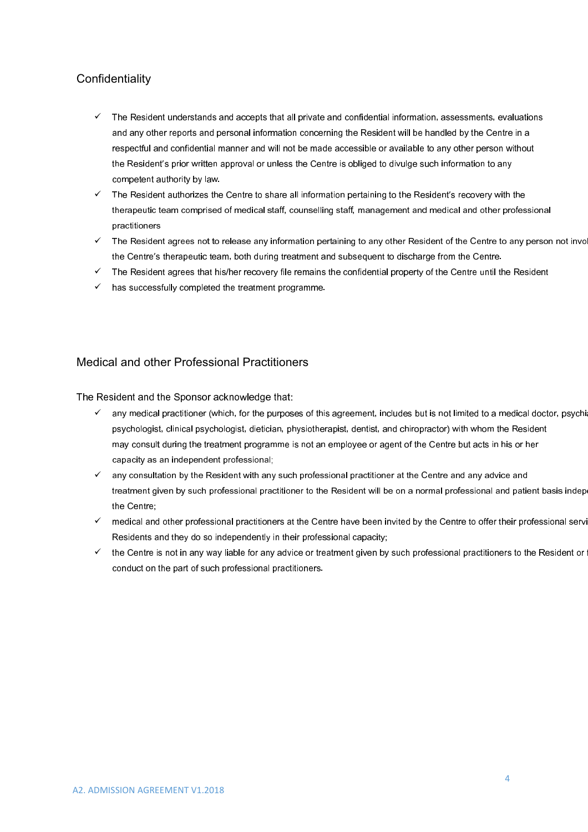## **Confidentiality**

- $\checkmark$  The Resident understands and accepts that all private and confidential information, assessments, evaluations and any other reports and personal information concerning the Resident will be handled by the Centre in a respectful and confidential manner and will not be made accessible or available to any other person without the Resident's prior written approval or unless the Centre is obliged to divulge such information to any competent authority by law.
- $\checkmark$  The Resident authorizes the Centre to share all information pertaining to the Resident's recovery with the therapeutic team comprised of medical staff, counselling staff, management and medical and other professional practitioners
- $\checkmark$  The Resident agrees not to release any information pertaining to any other Resident of the Centre to any person not involved the Centre's therapeutic team, both during treatment and subsequent to discharge from the Centre.
- $\checkmark$  The Resident agrees that his/her recovery file remains the confidential property of the Centre until the Resident
- $\checkmark$  has successfully completed the treatment programme.

### Medical and other Professional Practitioners

The Resident and the Sponsor acknowledge that:

- $\checkmark$  any medical practitioner (which, for the purposes of this agreement, includes but is not limited to a medical doctor, psychia psychologist, clinical psychologist, dietician, physiotherapist, dentist, and chiropractor) with whom the Resident may consult during the treatment programme is not an employee or agent of the Centre but acts in his or her capacity as an independent professional;
- $\checkmark$  any consultation by the Resident with any such professional practitioner at the Centre and any advice and treatment given by such professional practitioner to the Resident will be on a normal professional and patient basis independent the Centre;
- $\checkmark$  medical and other professional practitioners at the Centre have been invited by the Centre to offer their professional servi Residents and they do so independently in their professional capacity;
- $\checkmark$  the Centre is not in any way liable for any advice or treatment given by such professional practitioners to the Resident or  $\checkmark$ conduct on the part of such professional practitioners.